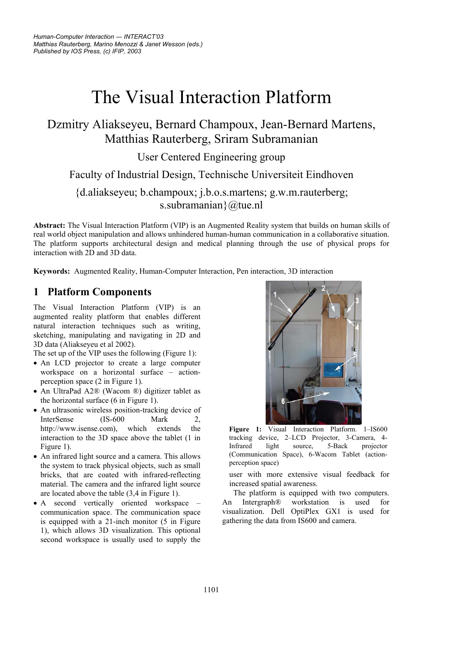# The Visual Interaction Platform

# Dzmitry Aliakseyeu, Bernard Champoux, Jean-Bernard Martens, Matthias Rauterberg, Sriram Subramanian

User Centered Engineering group

Faculty of Industrial Design, Technische Universiteit Eindhoven

## {d.aliakseyeu; b.champoux; j.b.o.s.martens; g.w.m.rauterberg; s.subramanian}@tue.nl

**Abstract:** The Visual Interaction Platform (VIP) is an Augmented Reality system that builds on human skills of real world object manipulation and allows unhindered human-human communication in a collaborative situation. The platform supports architectural design and medical planning through the use of physical props for interaction with 2D and 3D data.

**Keywords:** Augmented Reality, Human-Computer Interaction, Pen interaction, 3D interaction

## **1 Platform Components**

The Visual Interaction Platform (VIP) is an augmented reality platform that enables different natural interaction techniques such as writing, sketching, manipulating and navigating in 2D and 3D data (Aliakseyeu et al 2002).

The set up of the VIP uses the following (Figure 1):

- An LCD projector to create a large computer workspace on a horizontal surface – actionperception space (2 in Figure 1).
- An UltraPad A2® (Wacom ®) digitizer tablet as the horizontal surface (6 in Figure 1).
- An ultrasonic wireless position-tracking device of InterSense (IS-600 Mark 2, http://www.isense.com), which extends the interaction to the 3D space above the tablet (1 in Figure 1).
- An infrared light source and a camera. This allows the system to track physical objects, such as small bricks, that are coated with infrared-reflecting material. The camera and the infrared light source are located above the table (3,4 in Figure 1).
- A second vertically oriented workspace communication space. The communication space is equipped with a 21-inch monitor (5 in Figure 1), which allows 3D visualization. This optional second workspace is usually used to supply the



**Figure 1:** Visual Interaction Platform. 1–IS600 tracking device, 2–LCD Projector, 3-Camera, 4- Infrared light source, 5-Back projector (Communication Space), 6-Wacom Tablet (actionperception space)

user with more extensive visual feedback for increased spatial awareness.

The platform is equipped with two computers. An Intergraph® workstation is used for visualization. Dell OptiPlex GX1 is used for gathering the data from IS600 and camera.